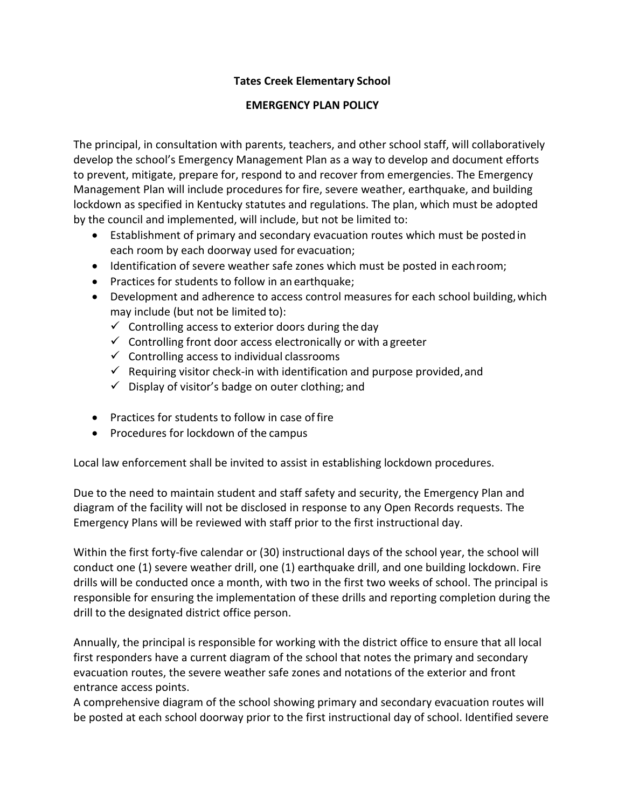## **Tates Creek Elementary School**

## **EMERGENCY PLAN POLICY**

The principal, in consultation with parents, teachers, and other school staff, will collaboratively develop the school's Emergency Management Plan as a way to develop and document efforts to prevent, mitigate, prepare for, respond to and recover from emergencies. The Emergency Management Plan will include procedures for fire, severe weather, earthquake, and building lockdown as specified in Kentucky statutes and regulations. The plan, which must be adopted by the council and implemented, will include, but not be limited to:

- Establishment of primary and secondary evacuation routes which must be postedin each room by each doorway used for evacuation;
- Identification of severe weather safe zones which must be posted in eachroom;
- Practices for students to follow in an earthquake;
- Development and adherence to access control measures for each school building,which may include (but not be limited to):
	- $\checkmark$  Controlling access to exterior doors during the day
	- $\checkmark$  Controlling front door access electronically or with a greeter
	- $\checkmark$  Controlling access to individual classrooms
	- $\checkmark$  Requiring visitor check-in with identification and purpose provided, and
	- $\checkmark$  Display of visitor's badge on outer clothing; and
- Practices for students to follow in case of fire
- Procedures for lockdown of the campus

Local law enforcement shall be invited to assist in establishing lockdown procedures.

Due to the need to maintain student and staff safety and security, the Emergency Plan and diagram of the facility will not be disclosed in response to any Open Records requests. The Emergency Plans will be reviewed with staff prior to the first instructional day.

Within the first forty-five calendar or (30) instructional days of the school year, the school will conduct one (1) severe weather drill, one (1) earthquake drill, and one building lockdown. Fire drills will be conducted once a month, with two in the first two weeks of school. The principal is responsible for ensuring the implementation of these drills and reporting completion during the drill to the designated district office person.

Annually, the principal is responsible for working with the district office to ensure that all local first responders have a current diagram of the school that notes the primary and secondary evacuation routes, the severe weather safe zones and notations of the exterior and front entrance access points.

A comprehensive diagram of the school showing primary and secondary evacuation routes will be posted at each school doorway prior to the first instructional day of school. Identified severe